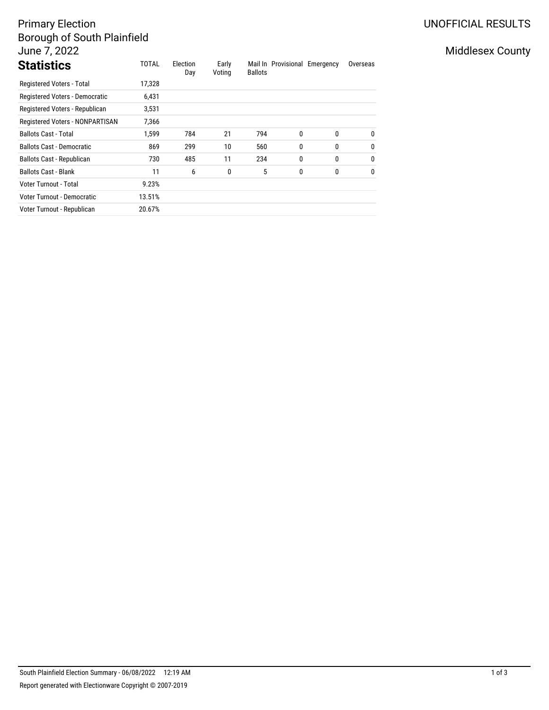# Primary Election Borough of South Plainfield June 7, 2022

| <b>Statistics</b>                | <b>TOTAL</b> | Election<br>Day | Early<br>Voting | <b>Ballots</b> | Mail In Provisional Emergency |              | Overseas     |
|----------------------------------|--------------|-----------------|-----------------|----------------|-------------------------------|--------------|--------------|
| Registered Voters - Total        | 17,328       |                 |                 |                |                               |              |              |
| Registered Voters - Democratic   | 6,431        |                 |                 |                |                               |              |              |
| Registered Voters - Republican   | 3,531        |                 |                 |                |                               |              |              |
| Registered Voters - NONPARTISAN  | 7,366        |                 |                 |                |                               |              |              |
| <b>Ballots Cast - Total</b>      | 1.599        | 784             | 21              | 794            | 0                             | $\mathbf{0}$ | $\mathbf{0}$ |
| <b>Ballots Cast - Democratic</b> | 869          | 299             | 10              | 560            | 0                             | 0            | $\mathbf{0}$ |
| <b>Ballots Cast - Republican</b> | 730          | 485             | 11              | 234            | 0                             | 0            | $\mathbf{0}$ |
| <b>Ballots Cast - Blank</b>      | 11           | 6               | 0               | 5              | 0                             | 0            | $\mathbf{0}$ |
| Voter Turnout - Total            | 9.23%        |                 |                 |                |                               |              |              |
| Voter Turnout - Democratic       | 13.51%       |                 |                 |                |                               |              |              |
| Voter Turnout - Republican       | 20.67%       |                 |                 |                |                               |              |              |

## UNOFFICIAL RESULTS

## Middlesex County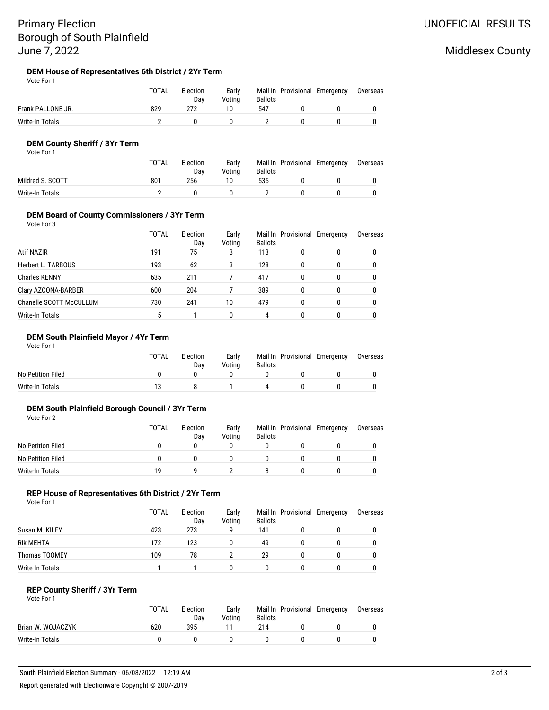## Primary Election Borough of South Plainfield June 7, 2022

## Middlesex County

# **DEM House of Representatives 6th District / 2Yr Term**<br>Vote For 1

| Vote For 1 |  |
|------------|--|
|            |  |

|                   | <b>TOTAL</b> | Election<br>Dav | Early<br>Votina | <b>Ballots</b> |              | Mail In Provisional Emergency Overseas |  |
|-------------------|--------------|-----------------|-----------------|----------------|--------------|----------------------------------------|--|
| Frank PALLONE JR. | 829          | 272             | 10              | 547            |              |                                        |  |
| Write-In Totals   |              |                 | - 0             |                | $\mathbf{u}$ |                                        |  |

#### **DEM County Sheriff / 3Yr Term**

Vote For 1

|                  | <b>TOTAL</b> | Election<br>Dav | Earlv<br>Votina | <b>Ballots</b> | Mail In Provisional Emergency | Overseas |
|------------------|--------------|-----------------|-----------------|----------------|-------------------------------|----------|
| Mildred S. SCOTT | 801          | 256             | 10              | 535            |                               |          |
| Write-In Totals  |              |                 |                 |                |                               |          |

#### **DEM Board of County Commissioners / 3Yr Term**

Vote For 3

|                                | TOTAL | Election<br>Day | Early<br>Voting | <b>Ballots</b> | Mail In Provisional Emergency |   | Overseas |
|--------------------------------|-------|-----------------|-----------------|----------------|-------------------------------|---|----------|
| Atif NAZIR                     | 191   | 75              | 3               | 113            | 0                             | 0 |          |
| Herbert L. TARBOUS             | 193   | 62              | 3               | 128            | 0                             |   |          |
| <b>Charles KENNY</b>           | 635   | 211             |                 | 417            | 0                             | 0 |          |
| Clary AZCONA-BARBER            | 600   | 204             |                 | 389            | 0                             | 0 |          |
| <b>Chanelle SCOTT McCULLUM</b> | 730   | 241             | 10              | 479            | 0                             |   |          |
| Write-In Totals                | 5     |                 |                 | 4              | 0                             |   |          |

### **DEM South Plainfield Mayor / 4Yr Term**

Vote For 1

|                   | <b>TOTAL</b> | Election<br>Dav | Early<br>Votina | <b>Ballots</b>     | Mail In Provisional Emergency | Overseas |
|-------------------|--------------|-----------------|-----------------|--------------------|-------------------------------|----------|
| No Petition Filed |              |                 |                 |                    |                               |          |
| Write-In Totals   |              |                 |                 | $\mathbf{\Lambda}$ |                               |          |

#### **DEM South Plainfield Borough Council / 3Yr Term**

Vote For 2

|                   | TOTAL | Election<br>Dav | Early<br>Votina | <b>Ballots</b> | Mail In Provisional Emergency | Overseas |
|-------------------|-------|-----------------|-----------------|----------------|-------------------------------|----------|
| No Petition Filed |       |                 |                 |                |                               |          |
| No Petition Filed |       |                 |                 |                |                               |          |
| Write-In Totals   | 19    |                 |                 |                |                               |          |

### **REP House of Representatives 6th District / 2Yr Term**

Vote For 1

|                  | TOTAL | Election<br>Day | Early<br>Voting | <b>Ballots</b> | Mail In Provisional Emergency | Overseas |
|------------------|-------|-----------------|-----------------|----------------|-------------------------------|----------|
| Susan M. KILEY   | 423   | 273             | g               | 141            |                               |          |
| <b>Rik MEHTA</b> | 172   | 123             |                 | 49             |                               |          |
| Thomas TOOMEY    | 109   | 78              |                 | 29             |                               |          |
| Write-In Totals  |       |                 |                 |                |                               |          |

#### **REP County Sheriff / 3Yr Term** Vote For 1

|                   | <b>TOTAL</b> | Election<br>Dav | Early<br>Votina | <b>Ballots</b> | Mail In Provisional Emergency | Overseas |
|-------------------|--------------|-----------------|-----------------|----------------|-------------------------------|----------|
| Brian W. WOJACZYK | 620          | 395             |                 | 214            |                               |          |
| Write-In Totals   |              | $\mathbf{u}$    |                 |                |                               |          |